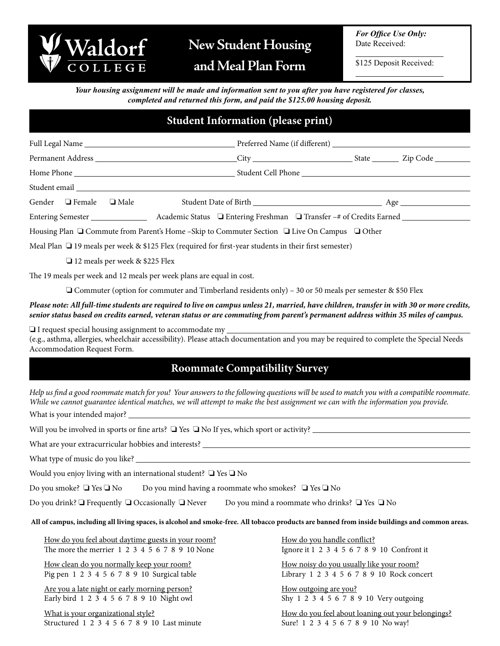

**and Meal Plan Form**

*For Office Use Only:* Date Received:

 $\overline{a}$ 

 $\overline{a}$ 

\$125 Deposit Received:

*Your housing assignment will be made and information sent to you after you have registered for classes, completed and returned this form, and paid the \$125.00 housing deposit.*

## **Student Information (please print)**

|                                                                                                            |  | Gender $\Box$ Female $\Box$ Male |  |  |  |  |  |
|------------------------------------------------------------------------------------------------------------|--|----------------------------------|--|--|--|--|--|
|                                                                                                            |  |                                  |  |  |  |  |  |
| Housing Plan □ Commute from Parent's Home –Skip to Commuter Section □ Live On Campus □ Other               |  |                                  |  |  |  |  |  |
| Meal Plan $\Box$ 19 meals per week & \$125 Flex (required for first-year students in their first semester) |  |                                  |  |  |  |  |  |
|                                                                                                            |  |                                  |  |  |  |  |  |

 ❏ 12 meals per week & \$225 Flex

The 19 meals per week and 12 meals per week plans are equal in cost.

 ❏ Commuter (option for commuter and Timberland residents only) – 30 or 50 meals per semester & \$50 Flex

## *Please note: All full-time students are required to live on campus unless 21, married, have children, transfer in with 30 or more credits, senior status based on credits earned, veteran status or are commuting from parent's permanent address within 35 miles of campus.*

❏ I request special housing assignment to accommodate my (e.g., asthma, allergies, wheelchair accessibility). Please attach documentation and you may be required to complete the Special Needs Accommodation Request Form.

## **Roommate Compatibility Survey**

What is your intended major? \_ *Help us find a good roommate match for you! Your answers to the following questions will be used to match you with a compatible roommate. While we cannot guarantee identical matches, we will attempt to make the best assignment we can with the information you provide.*

Will you be involved in sports or fine arts? ❏ Yes ❏ No If yes, which sport or activity?

What are your extracurricular hobbies and interests? \_\_\_\_\_\_\_\_\_\_\_\_\_\_\_\_\_\_\_\_\_\_\_\_\_\_\_

What type of music do you like?

Would you enjoy living with an international student? ❏ Yes ❏ No

Do you smoke? ❏ Yes ❏ No Do you mind having a roommate who smokes? ❏ Yes ❏ No

Do you drink? **□** Frequently □ Occasionally □ Never Do you mind a roommate who drinks? □ Yes □ No

**All of campus, including all living spaces, is alcohol and smoke-free. All tobacco products are banned from inside buildings and common areas.**

How do you feel about daytime guests in your room? The more the merrier 1 2 3 4 5 6 7 8 9 10 None

How clean do you normally keep your room? Pig pen 1 2 3 4 5 6 7 8 9 10 Surgical table

Are you a late night or early morning person? Early bird 1 2 3 4 5 6 7 8 9 10 Night owl

What is your organizational style? Structured 1 2 3 4 5 6 7 8 9 10 Last minute How do you handle conflict? Ignore it 1 2 3 4 5 6 7 8 9 10 Confront it

How noisy do you usually like your room? Library 1 2 3 4 5 6 7 8 9 10 Rock concert

How outgoing are you? Shy 1 2 3 4 5 6 7 8 9 10 Very outgoing

How do you feel about loaning out your belongings? Sure! 1 2 3 4 5 6 7 8 9 10 No way!